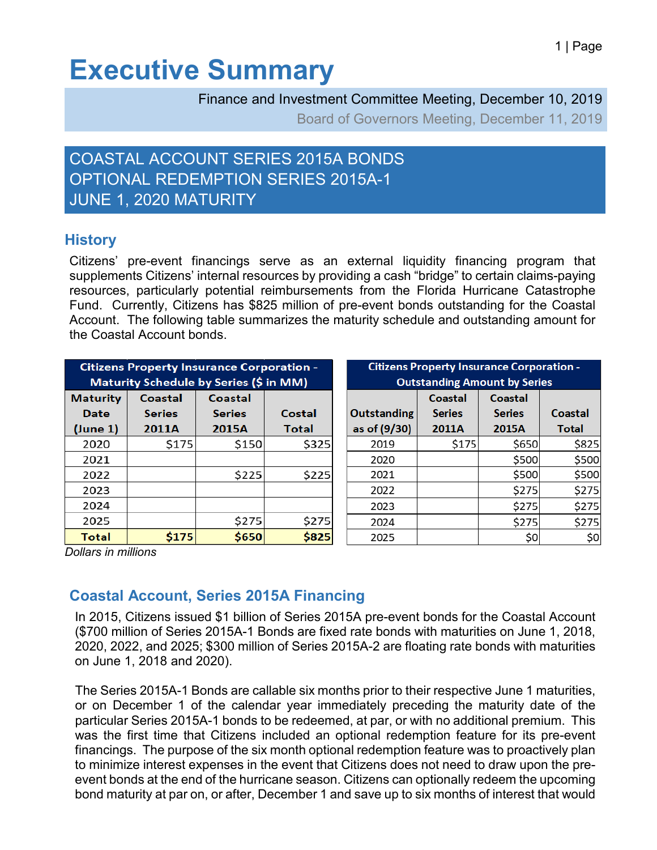# **Executive Summary**

Finance and Investment Committee Meeting, December 10, 2019

Board of Governors Meeting, December 11, 2019

## COASTAL ACCOUNT SERIES 2015A BONDS OPTIONAL REDEMPTION SERIES 2015A-1 JUNE 1, 2020 MATURITY

### **History**

Citizens' pre-event financings serve as an external liquidity financing program that supplements Citizens' internal resources by providing a cash "bridge" to certain claims-paying resources, particularly potential reimbursements from the Florida Hurricane Catastrophe Fund. Currently, Citizens has \$825 million of pre-event bonds outstanding for the Coastal Account. The following table summarizes the maturity schedule and outstanding amount for the Coastal Account bonds.

| <b>Citizens Property Insurance Corporation -</b><br>Maturity Schedule by Series (\$ in MM) |               |               |        | <b>Citizens Property Insurance Corporation -</b><br><b>Outstanding Amount by Series</b> |               |               |         |
|--------------------------------------------------------------------------------------------|---------------|---------------|--------|-----------------------------------------------------------------------------------------|---------------|---------------|---------|
| <b>Maturity</b>                                                                            | Coastal       | Coastal       |        |                                                                                         | Coastal       | Coastal       |         |
| <b>Date</b>                                                                                | <b>Series</b> | <b>Series</b> | Costal | <b>Outstanding</b>                                                                      | <b>Series</b> | <b>Series</b> | Coastal |
| (June 1)                                                                                   | 2011A         | <b>2015A</b>  | Total  | as of (9/30)                                                                            | 2011A         | 2015A         | Total   |
| 2020                                                                                       | \$175         | \$150         | \$325  | 2019                                                                                    | \$175         | \$650         | \$825   |
| 2021                                                                                       |               |               |        | 2020                                                                                    |               | \$500         | \$500   |
| 2022                                                                                       |               | \$225         | \$225  | 2021                                                                                    |               | \$500         | \$500   |
| 2023                                                                                       |               |               |        | 2022                                                                                    |               | \$275         | \$275   |
| 2024                                                                                       |               |               |        | 2023                                                                                    |               | \$275         | \$275   |
| 2025                                                                                       |               | \$275         | \$275  | 2024                                                                                    |               | \$275         | \$275   |
| Total                                                                                      | \$175         | \$650         | \$825  | 2025                                                                                    |               | \$0           | \$0     |

*Dollars in millions*

### **Coastal Account, Series 2015A Financing**

In 2015, Citizens issued \$1 billion of Series 2015A pre-event bonds for the Coastal Account (\$700 million of Series 2015A-1 Bonds are fixed rate bonds with maturities on June 1, 2018, 2020, 2022, and 2025; \$300 million of Series 2015A-2 are floating rate bonds with maturities on June 1, 2018 and 2020).

The Series 2015A-1 Bonds are callable six months prior to their respective June 1 maturities, or on December 1 of the calendar year immediately preceding the maturity date of the particular Series 2015A-1 bonds to be redeemed, at par, or with no additional premium. This was the first time that Citizens included an optional redemption feature for its pre-event financings. The purpose of the six month optional redemption feature was to proactively plan to minimize interest expenses in the event that Citizens does not need to draw upon the preevent bonds at the end of the hurricane season. Citizens can optionally redeem the upcoming bond maturity at par on, or after, December 1 and save up to six months of interest that would